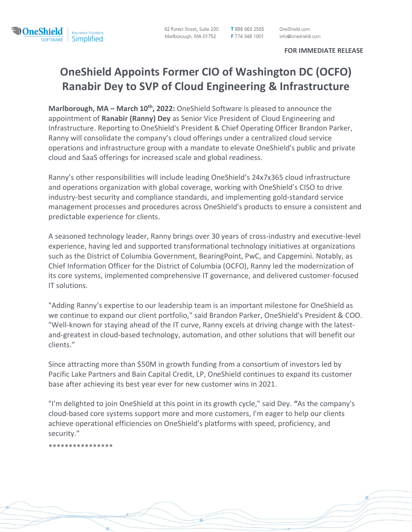T 888 663 2565 F 774 348 1001

OneShield.com info@oneshield.com

## **FOR IMMEDIATE RELEASE**

## **OneShield Appoints Former CIO of Washington DC (OCFO) Ranabir Dey to SVP of Cloud Engineering & Infrastructure**

**Marlborough, MA – March 10th, 2022:** OneShield Software is pleased to announce the appointment of **Ranabir (Ranny) Dey** as Senior Vice President of Cloud Engineering and Infrastructure. Reporting to OneShield's President & Chief Operating Officer Brandon Parker, Ranny will consolidate the company's cloud offerings under a centralized cloud service operations and infrastructure group with a mandate to elevate OneShield's public and private cloud and SaaS offerings for increased scale and global readiness.

Ranny's other responsibilities will include leading OneShield's 24x7x365 cloud infrastructure and operations organization with global coverage, working with OneShield's CISO to drive industry-best security and compliance standards, and implementing gold-standard service management processes and procedures across OneShield's products to ensure a consistent and predictable experience for clients.

A seasoned technology leader, Ranny brings over 30 years of cross-industry and executive-level experience, having led and supported transformational technology initiatives at organizations such as the District of Columbia Government, BearingPoint, PwC, and Capgemini. Notably, as Chief Information Officer for the District of Columbia (OCFO), Ranny led the modernization of its core systems, implemented comprehensive IT governance, and delivered customer-focused IT solutions.

"Adding Ranny's expertise to our leadership team is an important milestone for OneShield as we continue to expand our client portfolio," said Brandon Parker, OneShield's President & COO. "Well-known for staying ahead of the IT curve, Ranny excels at driving change with the latestand-greatest in cloud-based technology, automation, and other solutions that will benefit our clients."

Since attracting more than \$50M in growth funding from a consortium of investors led by Pacific Lake Partners and Bain Capital Credit, LP, OneShield continues to expand its customer base after achieving its best year ever for new customer wins in 2021.

"I'm delighted to join OneShield at this point in its growth cycle," said Dey. **"**As the company's cloud-based core systems support more and more customers, I'm eager to help our clients achieve operational efficiencies on OneShield's platforms with speed, proficiency, and security."

\*\*\*\*\*\*\*\*\*\*\*\*\*\*\*\*

**MoneShield** 

Insurance Solutions.

SOFTWARE Simplified.